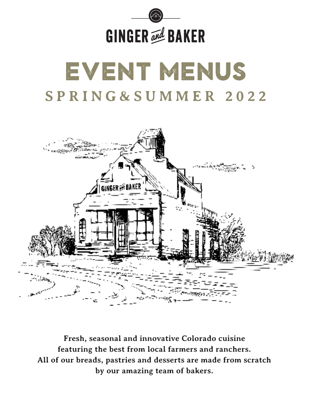

# event menus **SPRING&SUMMER 2022**



**Fresh, seasonal and innovative Colorado cuisine featuring the best from local farmers and ranchers. All of our breads, pastries and desserts are made from scratch by our amazing team of bakers.**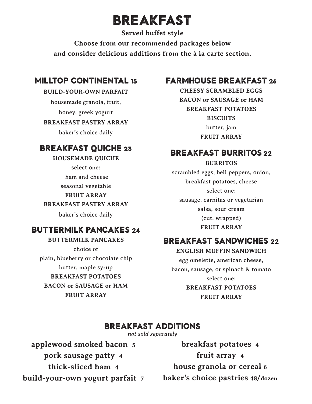### BREAKFAST

**Served buffet style Choose from our recommended packages below and consider delicious additions from the à la carte section.**

### milltop continental 15

#### **BUILD-YOUR-OWN PARFAIT**

housemade granola, fruit, honey, greek yogurt

#### **BREAKFAST PASTRY ARRAY**

baker's choice daily

### Breakfast Quiche 23

#### **HOUSEMADE QUICHE**

select one:

ham and cheese

seasonal vegetable

#### **FRUIT ARRAY**

**BREAKFAST PASTRY ARRAY**

baker's choice daily

### Buttermilk pancakes 24

**BUTTERMILK PANCAKES** choice of plain, blueberry or chocolate chip butter, maple syrup **BREAKFAST POTATOES BACON or SAUSAGE or HAM FRUIT ARRAY**

### Farmhouse Breakfast 26

**CHEESY SCRAMBLED EGGS BACON or SAUSAGE or HAM BREAKFAST POTATOES BISCUITS** butter, jam **FRUIT ARRAY**

### BREAKFAST BURRITOS 22

#### **BURRITOS**

scrambled eggs, bell peppers, onion, breakfast potatoes, cheese select one: sausage, carnitas or vegetarian salsa, sour cream (cut, wrapped) **FRUIT ARRAY**

### BREAKFAST SANDWICHES 22

#### **ENGLISH MUFFIN SANDWICH** egg omelette, american cheese, bacon, sausage, or spinach & tomato select one: **BREAKFAST POTATOES FRUIT ARRAY**

### Breakfast additions

*not sold separately*

**applewood smoked bacon 5 pork sausage patty 4 thick-sliced ham 4 build-your-own yogurt parfait 7**

**breakfast potatoes 4 fruit array 4 house granola or cereal 6 baker's choice pastries 48/dozen**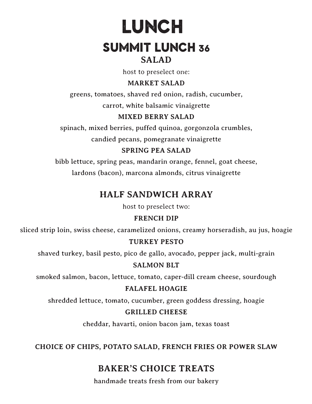## LUNCH Summit lunch 36 **SALAD**

host to preselect one:

#### **MARKET SALAD**

greens, tomatoes, shaved red onion, radish, cucumber,

carrot, white balsamic vinaigrette

#### **MIXED BERRY SALAD**

spinach, mixed berries, puffed quinoa, gorgonzola crumbles,

candied pecans, pomegranate vinaigrette

#### **SPRING PEA SALAD**

bibb lettuce, spring peas, mandarin orange, fennel, goat cheese, lardons (bacon), marcona almonds, citrus vinaigrette

### **HALF SANDWICH ARRAY**

host to preselect two:

#### **FRENCH DIP**

sliced strip loin, swiss cheese, caramelized onions, creamy horseradish, au jus, hoagie

#### **TURKEY PESTO**

shaved turkey, basil pesto, pico de gallo, avocado, pepper jack, multi-grain

#### **SALMON BLT**

smoked salmon, bacon, lettuce, tomato, caper-dill cream cheese, sourdough

#### **FALAFEL HOAGIE**

shredded lettuce, tomato, cucumber, green goddess dressing, hoagie

#### **GRILLED CHEESE**

cheddar, havarti, onion bacon jam, texas toast

**CHOICE OF CHIPS, POTATO SALAD, FRENCH FRIES OR POWER SLAW** 

### **BAKER'S CHOICE TREATS**

handmade treats fresh from our bakery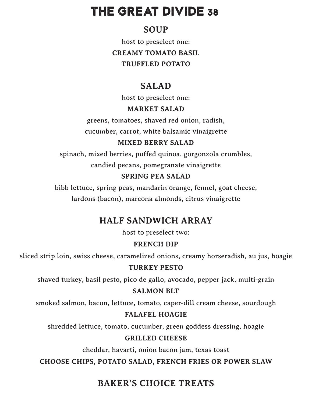### THE GREAT DIVIDE 38

### **SOUP**

host to preselect one: **CREAMY TOMATO BASIL TRUFFLED POTATO**

### **SALAD**

host to preselect one:

#### **MARKET SALAD**

greens, tomatoes, shaved red onion, radish, cucumber, carrot, white balsamic vinaigrette

### **MIXED BERRY SALAD**

spinach, mixed berries, puffed quinoa, gorgonzola crumbles, candied pecans, pomegranate vinaigrette

### **SPRING PEA SALAD**

bibb lettuce, spring peas, mandarin orange, fennel, goat cheese, lardons (bacon), marcona almonds, citrus vinaigrette

### **HALF SANDWICH ARRAY**

host to preselect two:

### **FRENCH DIP**

sliced strip loin, swiss cheese, caramelized onions, creamy horseradish, au jus, hoagie

### **TURKEY PESTO**

shaved turkey, basil pesto, pico de gallo, avocado, pepper jack, multi-grain

### **SALMON BLT**

smoked salmon, bacon, lettuce, tomato, caper-dill cream cheese, sourdough

### **FALAFEL HOAGIE**

shredded lettuce, tomato, cucumber, green goddess dressing, hoagie

### **GRILLED CHEESE**

cheddar, havarti, onion bacon jam, texas toast

**CHOOSE CHIPS, POTATO SALAD, FRENCH FRIES OR POWER SLAW**

### **BAKER'S CHOICE TREATS**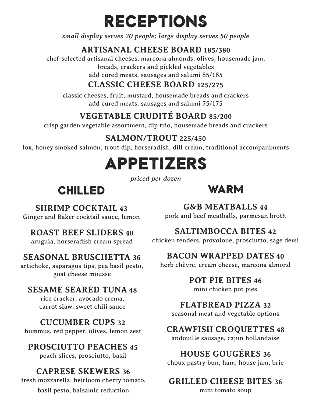## receptions

*small display serves 20 people; large display serves 50 people*

### **ARTISANAL CHEESE BOARD 185/380**

chef-selected artisanal cheeses, marcona almonds, olives, housemade jam,

breads, crackers and pickled vegetables

add cured meats, sausages and salumi 85/185

### **CLASSIC CHEESE BOARD 125/275**

classic cheeses, fruit, mustard, housemade breads and crackers add cured meats, sausages and salumi 75/175

### **VEGETABLE CRUDITÉ BOARD 85/200**

crisp garden vegetable assortment, dip trio, housemade breads and crackers

### **SALMON/TROUT 225/450**

lox, honey smoked salmon, trout dip, horseradish, dill cream, traditional accompaniments

## appetizers

*priced per dozen*

### chilled

### warm

### **SHRIMP COCKTAIL 43**

Ginger and Baker cocktail sauce, lemon

### **ROAST BEEF SLIDERS 40**

arugula, horseradish cream spread

### **SEASONAL BRUSCHETTA 36**

artichoke, asparagus tips, pea basil pesto, goat cheese mousse

### **SESAME SEARED TUNA 48**

rice cracker, avocado crema, carrot slaw, sweet chili sauce

### **CUCUMBER CUPS 32**

hummus, red pepper, olives, lemon zest

### **PROSCIUTTO PEACHES 45**

peach slices, prosciutto, basil

### **CAPRESE SKEWERS 36**

fresh mozzarella, heirloom cherry tomato, basil pesto, balsamic reduction

### **G&B MEATBALLS 44**

pork and beef meatballs, parmesan broth

### **SALTIMBOCCA BITES 42**

chicken tenders, provolone, prosciutto, sage demi

### **BACON WRAPPED DATES 40**

herb chèvre, cream cheese, marcona almond

### **POT PIE BITES 46**

mini chicken pot pies

### **FLATBREAD PIZZA 32**

seasonal meat and vegetable options

### **CRAWFISH CROQUETTES 48**

andouille sausage, cajun hollandaise

### **HOUSE GOUGÉRES 36**

choux pastry bun, ham, house jam, brie

### **GRILLED CHEESE BITES 36**

mini tomato soup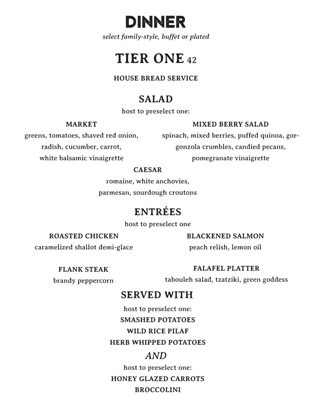

*select family-style, buffet or plated*

## **TIER ONE**<sup>42</sup>

**HOUSE BREAD SERVICE**

### **SALAD**

host to preselect one:

**MARKET**

#### **MIXED BERRY SALAD**

greens, tomatoes, shaved red onion, radish, cucumber, carrot, white balsamic vinaigrette

spinach, mixed berries, puffed quinoa, gorgonzola crumbles, candied pecans, pomegranate vinaigrette

#### **CAESAR**

romaine, white anchovies, parmesan, sourdough croutons

### **ENTRÉES**

host to preselect one

**ROASTED CHICKEN**

#### **BLACKENED SALMON**

caramelized shallot demi-glace

### peach relish, lemon oil

**FLANK STEAK**

brandy peppercorn

#### **FALAFEL PLATTER**

tabouleh salad, tzatziki, green goddess

### **SERVED WITH**

host to preselect one:

**SMASHED POTATOES**

**WILD RICE PILAF**

**HERB WHIPPED POTATOES**

### *AND*

host to preselect one:

**HONEY GLAZED CARROTS**

### **BROCCOLINI**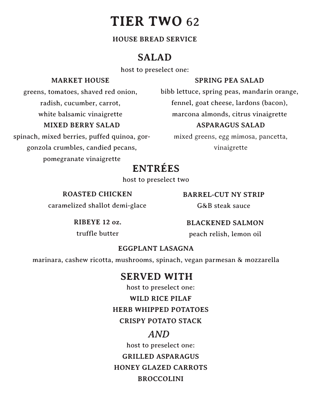### **TIER TWO** 62

#### **HOUSE BREAD SERVICE**

### **SALAD**

host to preselect one:

#### **MARKET HOUSE**

#### **SPRING PEA SALAD**

greens, tomatoes, shaved red onion, radish, cucumber, carrot, white balsamic vinaigrette

#### **MIXED BERRY SALAD**

spinach, mixed berries, puffed quinoa, gorgonzola crumbles, candied pecans, pomegranate vinaigrette

bibb lettuce, spring peas, mandarin orange, fennel, goat cheese, lardons (bacon), marcona almonds, citrus vinaigrette

#### **ASPARAGUS SALAD**

mixed greens, egg mimosa, pancetta, vinaigrette

### **ENTRÉES**

host to preselect two

**ROASTED CHICKEN**

caramelized shallot demi-glace

**RIBEYE 12 oz.** 

**BLACKENED SALMON**

**BARREL-CUT NY STRIP**

G&B steak sauce

peach relish, lemon oil

truffle butter

**EGGPLANT LASAGNA**

marinara, cashew ricotta, mushrooms, spinach, vegan parmesan & mozzarella

### **SERVED WITH**

host to preselect one:

**WILD RICE PILAF**

**HERB WHIPPED POTATOES**

#### **CRISPY POTATO STACK**

#### *AND*

host to preselect one:

**GRILLED ASPARAGUS**

**HONEY GLAZED CARROTS**

#### **BROCCOLINI**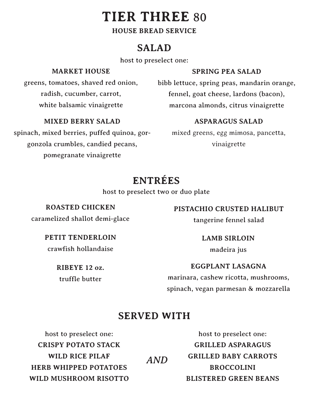### **TIER THREE** 80

#### **HOUSE BREAD SERVICE**

### **SALAD**

host to preselect one:

#### **MARKET HOUSE**

greens, tomatoes, shaved red onion, radish, cucumber, carrot, white balsamic vinaigrette

#### **MIXED BERRY SALAD**

spinach, mixed berries, puffed quinoa, gorgonzola crumbles, candied pecans, pomegranate vinaigrette

#### **SPRING PEA SALAD**

bibb lettuce, spring peas, mandarin orange, fennel, goat cheese, lardons (bacon), marcona almonds, citrus vinaigrette

#### **ASPARAGUS SALAD**

mixed greens, egg mimosa, pancetta, vinaigrette

### **ENTRÉES**

host to preselect two or duo plate

### **ROASTED CHICKEN**

caramelized shallot demi-glace

#### **PETIT TENDERLOIN**

crawfish hollandaise

**RIBEYE 12 oz.**  truffle butter

#### **PISTACHIO CRUSTED HALIBUT**

tangerine fennel salad

**LAMB SIRLOIN**

madeira jus

**EGGPLANT LASAGNA**

marinara, cashew ricotta, mushrooms, spinach, vegan parmesan & mozzarella

### **SERVED WITH**

host to preselect one: **CRISPY POTATO STACK WILD RICE PILAF HERB WHIPPED POTATOES WILD MUSHROOM RISOTTO** *AND*

host to preselect one: **GRILLED ASPARAGUS GRILLED BABY CARROTS BROCCOLINI BLISTERED GREEN BEANS**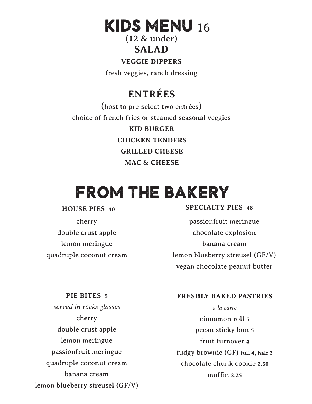## kids menu 16

(12 & under) **SALAD**

#### **VEGGIE DIPPERS**

fresh veggies, ranch dressing

### **ENTRÉES**

(host to pre-select two entrées) choice of french fries or steamed seasonal veggies **KID BURGER CHICKEN TENDERS GRILLED CHEESE MAC & CHEESE**

## from the bakery

#### **HOUSE PIES 40**

cherry double crust apple lemon meringue quadruple coconut cream

#### **SPECIALTY PIES 48**

passionfruit meringue chocolate explosion banana cream lemon blueberry streusel (GF/V) vegan chocolate peanut butter

#### **PIE BITES 5**

*served in rocks glasses* cherry double crust apple lemon meringue passionfruit meringue quadruple coconut cream banana cream lemon blueberry streusel (GF/V)

#### **FRESHLY BAKED PASTRIES**

*a la carte* cinnamon roll **5** pecan sticky bun **5** fruit turnover **4** fudgy brownie (GF) **full 4, half 2** chocolate chunk cookie **2.50** muffin **2.25**